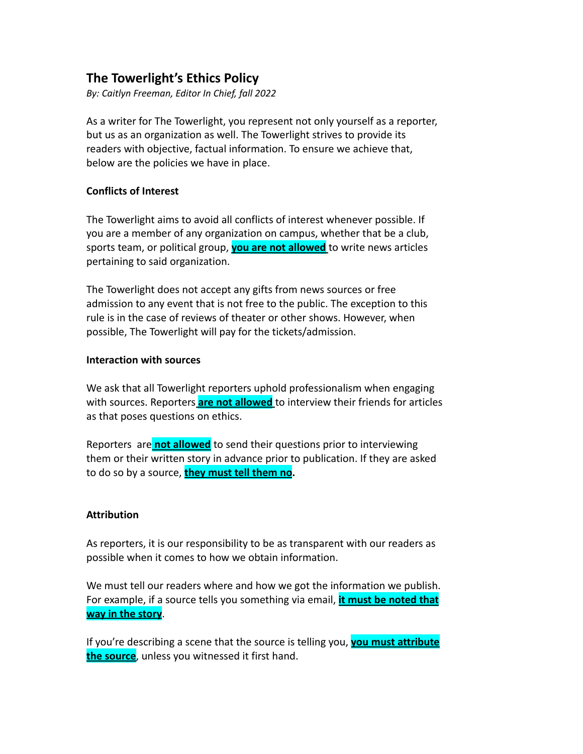# **The Towerlight's Ethics Policy**

*By: Caitlyn Freeman, Editor In Chief, fall 2022*

As a writer for The Towerlight, you represent not only yourself as a reporter, but us as an organization as well. The Towerlight strives to provide its readers with objective, factual information. To ensure we achieve that, below are the policies we have in place.

### **Conflicts of Interest**

The Towerlight aims to avoid all conflicts of interest whenever possible. If you are a member of any organization on campus, whether that be a club, sports team, or political group, **you are not allowed** to write news articles pertaining to said organization.

The Towerlight does not accept any gifts from news sources or free admission to any event that is not free to the public. The exception to this rule is in the case of reviews of theater or other shows. However, when possible, The Towerlight will pay for the tickets/admission.

### **Interaction with sources**

We ask that all Towerlight reporters uphold professionalism when engaging with sources. Reporters **are not allowed** to interview their friends for articles as that poses questions on ethics.

Reporters are **not allowed** to send their questions prior to interviewing them or their written story in advance prior to publication. If they are asked to do so by a source, **they must tell them no.**

### **Attribution**

As reporters, it is our responsibility to be as transparent with our readers as possible when it comes to how we obtain information.

We must tell our readers where and how we got the information we publish. For example, if a source tells you something via email, **it must be noted that way in the story**.

If you're describing a scene that the source is telling you, **you must attribute the source**, unless you witnessed it first hand.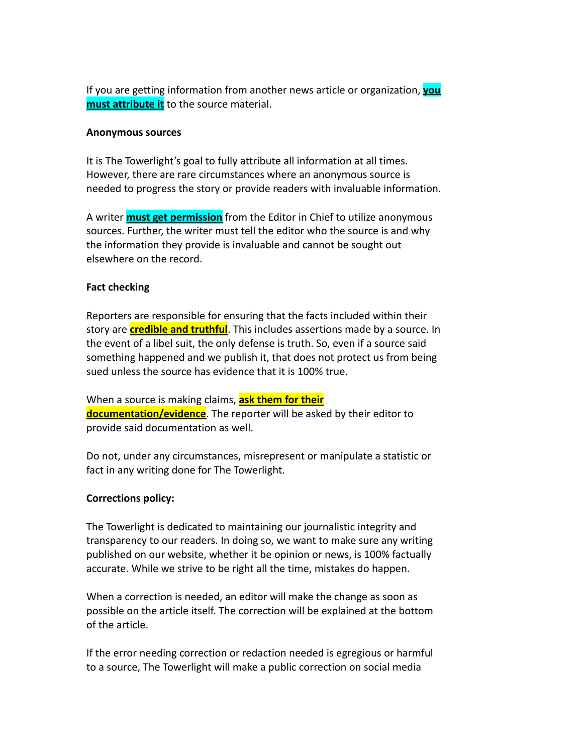If you are getting information from another news article or organization, **you must attribute it** to the source material.

#### **Anonymous sources**

It is The Towerlight's goal to fully attribute all information at all times. However, there are rare circumstances where an anonymous source is needed to progress the story or provide readers with invaluable information.

A writer **must get permission** from the Editor in Chief to utilize anonymous sources. Further, the writer must tell the editor who the source is and why the information they provide is invaluable and cannot be sought out elsewhere on the record.

## **Fact checking**

Reporters are responsible for ensuring that the facts included within their story are **credible and truthful**. This includes assertions made by a source. In the event of a libel suit, the only defense is truth. So, even if a source said something happened and we publish it, that does not protect us from being sued unless the source has evidence that it is 100% true.

When a source is making claims, **ask them for their documentation/evidence**. The reporter will be asked by their editor to provide said documentation as well.

Do not, under any circumstances, misrepresent or manipulate a statistic or fact in any writing done for The Towerlight.

### **Corrections policy:**

The Towerlight is dedicated to maintaining our journalistic integrity and transparency to our readers. In doing so, we want to make sure any writing published on our website, whether it be opinion or news, is 100% factually accurate. While we strive to be right all the time, mistakes do happen.

When a correction is needed, an editor will make the change as soon as possible on the article itself. The correction will be explained at the bottom of the article.

If the error needing correction or redaction needed is egregious or harmful to a source, The Towerlight will make a public correction on social media